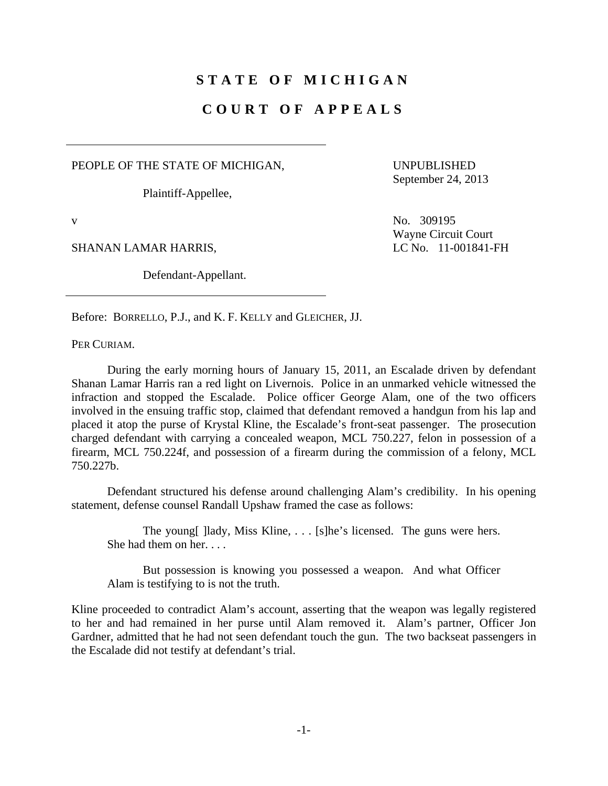# **STATE OF MICHIGAN**

# **COURT OF APPEALS**

PEOPLE OF THE STATE OF MICHIGAN,

Plaintiff-Appellee,

UNPUBLISHED September 24, 2013

SHANAN LAMAR HARRIS, LC No. 11-001841-FH

Defendant-Appellant.

v No. 309195 Wayne Circuit Court

Before: BORRELLO, P.J., and K. F. KELLY and GLEICHER, JJ.

PER CURIAM.

 During the early morning hours of January 15, 2011, an Escalade driven by defendant Shanan Lamar Harris ran a red light on Livernois. Police in an unmarked vehicle witnessed the infraction and stopped the Escalade. Police officer George Alam, one of the two officers involved in the ensuing traffic stop, claimed that defendant removed a handgun from his lap and placed it atop the purse of Krystal Kline, the Escalade's front-seat passenger. The prosecution charged defendant with carrying a concealed weapon, MCL 750.227, felon in possession of a firearm, MCL 750.224f, and possession of a firearm during the commission of a felony, MCL 750.227b.

 Defendant structured his defense around challenging Alam's credibility. In his opening statement, defense counsel Randall Upshaw framed the case as follows:

The young [ ] lady, Miss Kline, ... [s] he's licensed. The guns were hers. She had them on her. . . .

 But possession is knowing you possessed a weapon. And what Officer Alam is testifying to is not the truth.

Kline proceeded to contradict Alam's account, asserting that the weapon was legally registered to her and had remained in her purse until Alam removed it. Alam's partner, Officer Jon Gardner, admitted that he had not seen defendant touch the gun. The two backseat passengers in the Escalade did not testify at defendant's trial.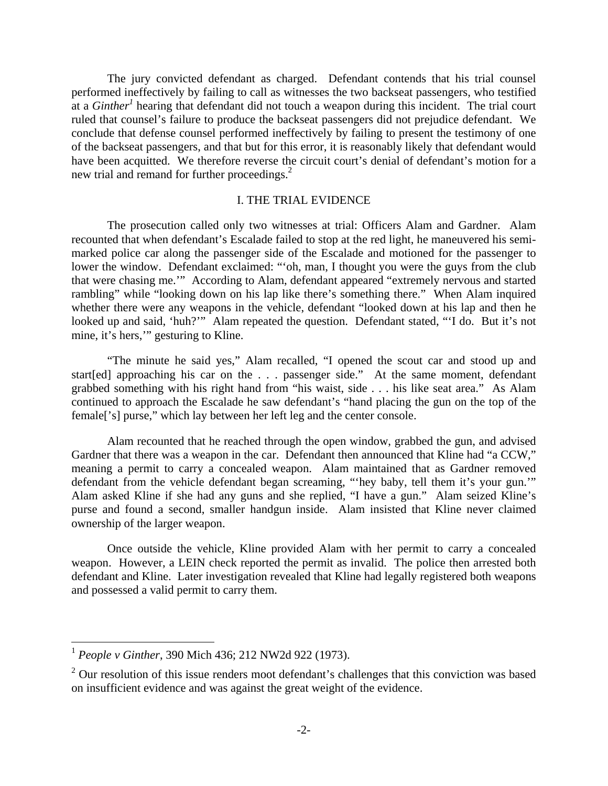The jury convicted defendant as charged. Defendant contends that his trial counsel performed ineffectively by failing to call as witnesses the two backseat passengers, who testified at a *Ginther<sup>1</sup>* hearing that defendant did not touch a weapon during this incident. The trial court ruled that counsel's failure to produce the backseat passengers did not prejudice defendant. We conclude that defense counsel performed ineffectively by failing to present the testimony of one of the backseat passengers, and that but for this error, it is reasonably likely that defendant would have been acquitted. We therefore reverse the circuit court's denial of defendant's motion for a new trial and remand for further proceedings.<sup>2</sup>

#### I. THE TRIAL EVIDENCE

 The prosecution called only two witnesses at trial: Officers Alam and Gardner. Alam recounted that when defendant's Escalade failed to stop at the red light, he maneuvered his semimarked police car along the passenger side of the Escalade and motioned for the passenger to lower the window. Defendant exclaimed: "'oh, man, I thought you were the guys from the club that were chasing me.'" According to Alam, defendant appeared "extremely nervous and started rambling" while "looking down on his lap like there's something there." When Alam inquired whether there were any weapons in the vehicle, defendant "looked down at his lap and then he looked up and said, 'huh?'" Alam repeated the question. Defendant stated, "'I do. But it's not mine, it's hers,'" gesturing to Kline.

 "The minute he said yes," Alam recalled, "I opened the scout car and stood up and start[ed] approaching his car on the . . . passenger side." At the same moment, defendant grabbed something with his right hand from "his waist, side . . . his like seat area." As Alam continued to approach the Escalade he saw defendant's "hand placing the gun on the top of the female['s] purse," which lay between her left leg and the center console.

 Alam recounted that he reached through the open window, grabbed the gun, and advised Gardner that there was a weapon in the car. Defendant then announced that Kline had "a CCW," meaning a permit to carry a concealed weapon. Alam maintained that as Gardner removed defendant from the vehicle defendant began screaming, "'hey baby, tell them it's your gun.'" Alam asked Kline if she had any guns and she replied, "I have a gun." Alam seized Kline's purse and found a second, smaller handgun inside. Alam insisted that Kline never claimed ownership of the larger weapon.

 Once outside the vehicle, Kline provided Alam with her permit to carry a concealed weapon. However, a LEIN check reported the permit as invalid. The police then arrested both defendant and Kline. Later investigation revealed that Kline had legally registered both weapons and possessed a valid permit to carry them.

 $\overline{a}$ 

<sup>1</sup> *People v Ginther*, 390 Mich 436; 212 NW2d 922 (1973).

 $2$  Our resolution of this issue renders moot defendant's challenges that this conviction was based on insufficient evidence and was against the great weight of the evidence.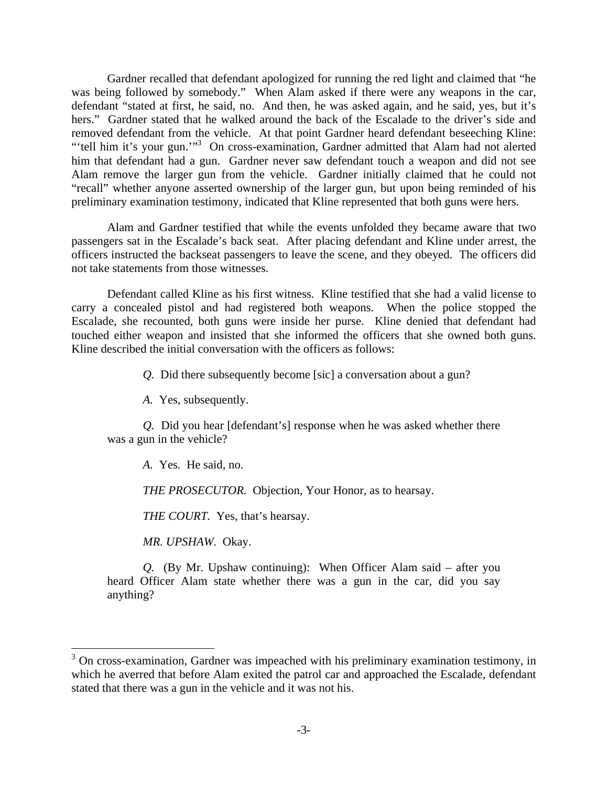Gardner recalled that defendant apologized for running the red light and claimed that "he was being followed by somebody." When Alam asked if there were any weapons in the car, defendant "stated at first, he said, no. And then, he was asked again, and he said, yes, but it's hers." Gardner stated that he walked around the back of the Escalade to the driver's side and removed defendant from the vehicle. At that point Gardner heard defendant beseeching Kline: "'tell him it's your gun."<sup>3</sup> On cross-examination, Gardner admitted that Alam had not alerted him that defendant had a gun. Gardner never saw defendant touch a weapon and did not see Alam remove the larger gun from the vehicle. Gardner initially claimed that he could not "recall" whether anyone asserted ownership of the larger gun, but upon being reminded of his preliminary examination testimony, indicated that Kline represented that both guns were hers.

 Alam and Gardner testified that while the events unfolded they became aware that two passengers sat in the Escalade's back seat. After placing defendant and Kline under arrest, the officers instructed the backseat passengers to leave the scene, and they obeyed. The officers did not take statements from those witnesses.

 Defendant called Kline as his first witness. Kline testified that she had a valid license to carry a concealed pistol and had registered both weapons. When the police stopped the Escalade, she recounted, both guns were inside her purse. Kline denied that defendant had touched either weapon and insisted that she informed the officers that she owned both guns. Kline described the initial conversation with the officers as follows:

*Q.* Did there subsequently become [sic] a conversation about a gun?

*A.* Yes, subsequently.

*Q.* Did you hear [defendant's] response when he was asked whether there was a gun in the vehicle?

*A.* Yes. He said, no.

*THE PROSECUTOR.* Objection, Your Honor, as to hearsay.

*THE COURT.* Yes, that's hearsay.

*MR. UPSHAW.* Okay.

1

*Q.* (By Mr. Upshaw continuing): When Officer Alam said – after you heard Officer Alam state whether there was a gun in the car, did you say anything?

 $3$  On cross-examination, Gardner was impeached with his preliminary examination testimony, in which he averred that before Alam exited the patrol car and approached the Escalade, defendant stated that there was a gun in the vehicle and it was not his.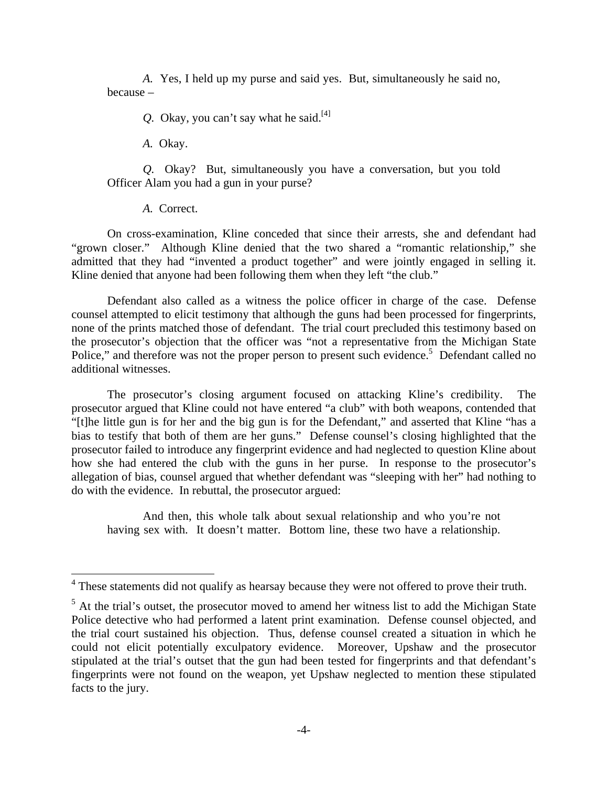*A.* Yes, I held up my purse and said yes. But, simultaneously he said no, because –

*Q.* Okay, you can't say what he said.<sup>[4]</sup>

*A.* Okay.

*Q.* Okay? But, simultaneously you have a conversation, but you told Officer Alam you had a gun in your purse?

*A.* Correct.

 $\overline{a}$ 

 On cross-examination, Kline conceded that since their arrests, she and defendant had "grown closer." Although Kline denied that the two shared a "romantic relationship," she admitted that they had "invented a product together" and were jointly engaged in selling it. Kline denied that anyone had been following them when they left "the club."

 Defendant also called as a witness the police officer in charge of the case. Defense counsel attempted to elicit testimony that although the guns had been processed for fingerprints, none of the prints matched those of defendant. The trial court precluded this testimony based on the prosecutor's objection that the officer was "not a representative from the Michigan State Police," and therefore was not the proper person to present such evidence.<sup>5</sup> Defendant called no additional witnesses.

 The prosecutor's closing argument focused on attacking Kline's credibility. The prosecutor argued that Kline could not have entered "a club" with both weapons, contended that "[t]he little gun is for her and the big gun is for the Defendant," and asserted that Kline "has a bias to testify that both of them are her guns." Defense counsel's closing highlighted that the prosecutor failed to introduce any fingerprint evidence and had neglected to question Kline about how she had entered the club with the guns in her purse. In response to the prosecutor's allegation of bias, counsel argued that whether defendant was "sleeping with her" had nothing to do with the evidence. In rebuttal, the prosecutor argued:

 And then, this whole talk about sexual relationship and who you're not having sex with. It doesn't matter. Bottom line, these two have a relationship.

<sup>&</sup>lt;sup>4</sup> These statements did not qualify as hearsay because they were not offered to prove their truth.

 $<sup>5</sup>$  At the trial's outset, the prosecutor moved to amend her witness list to add the Michigan State</sup> Police detective who had performed a latent print examination. Defense counsel objected, and the trial court sustained his objection. Thus, defense counsel created a situation in which he could not elicit potentially exculpatory evidence. Moreover, Upshaw and the prosecutor stipulated at the trial's outset that the gun had been tested for fingerprints and that defendant's fingerprints were not found on the weapon, yet Upshaw neglected to mention these stipulated facts to the jury.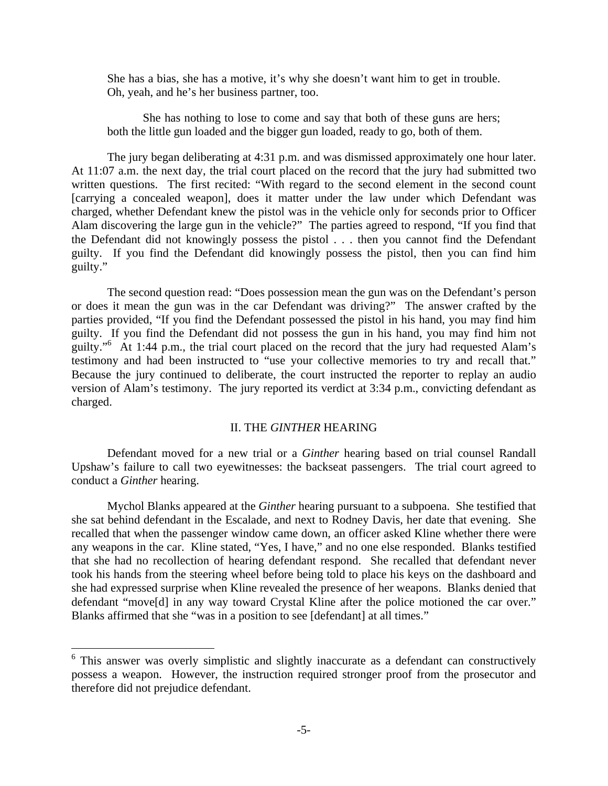She has a bias, she has a motive, it's why she doesn't want him to get in trouble. Oh, yeah, and he's her business partner, too.

 She has nothing to lose to come and say that both of these guns are hers; both the little gun loaded and the bigger gun loaded, ready to go, both of them.

 The jury began deliberating at 4:31 p.m. and was dismissed approximately one hour later. At 11:07 a.m. the next day, the trial court placed on the record that the jury had submitted two written questions. The first recited: "With regard to the second element in the second count [carrying a concealed weapon], does it matter under the law under which Defendant was charged, whether Defendant knew the pistol was in the vehicle only for seconds prior to Officer Alam discovering the large gun in the vehicle?" The parties agreed to respond, "If you find that the Defendant did not knowingly possess the pistol . . . then you cannot find the Defendant guilty. If you find the Defendant did knowingly possess the pistol, then you can find him guilty."

 The second question read: "Does possession mean the gun was on the Defendant's person or does it mean the gun was in the car Defendant was driving?" The answer crafted by the parties provided, "If you find the Defendant possessed the pistol in his hand, you may find him guilty. If you find the Defendant did not possess the gun in his hand, you may find him not guilty."<sup>6</sup> At 1:44 p.m., the trial court placed on the record that the jury had requested Alam's testimony and had been instructed to "use your collective memories to try and recall that." Because the jury continued to deliberate, the court instructed the reporter to replay an audio version of Alam's testimony. The jury reported its verdict at 3:34 p.m., convicting defendant as charged.

## II. THE *GINTHER* HEARING

 Defendant moved for a new trial or a *Ginther* hearing based on trial counsel Randall Upshaw's failure to call two eyewitnesses: the backseat passengers. The trial court agreed to conduct a *Ginther* hearing.

 Mychol Blanks appeared at the *Ginther* hearing pursuant to a subpoena. She testified that she sat behind defendant in the Escalade, and next to Rodney Davis, her date that evening. She recalled that when the passenger window came down, an officer asked Kline whether there were any weapons in the car. Kline stated, "Yes, I have," and no one else responded. Blanks testified that she had no recollection of hearing defendant respond. She recalled that defendant never took his hands from the steering wheel before being told to place his keys on the dashboard and she had expressed surprise when Kline revealed the presence of her weapons. Blanks denied that defendant "move[d] in any way toward Crystal Kline after the police motioned the car over." Blanks affirmed that she "was in a position to see [defendant] at all times."

 $\overline{a}$ 

<sup>&</sup>lt;sup>6</sup> This answer was overly simplistic and slightly inaccurate as a defendant can constructively possess a weapon. However, the instruction required stronger proof from the prosecutor and therefore did not prejudice defendant.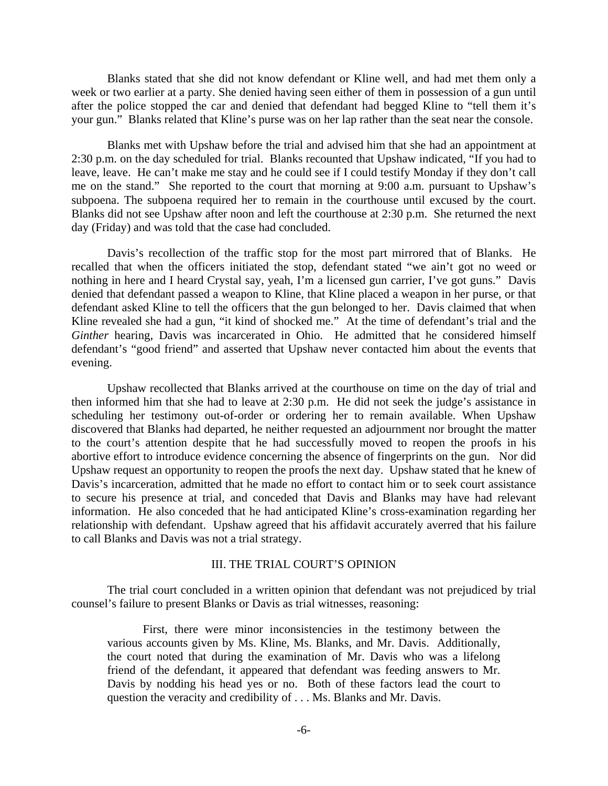Blanks stated that she did not know defendant or Kline well, and had met them only a week or two earlier at a party. She denied having seen either of them in possession of a gun until after the police stopped the car and denied that defendant had begged Kline to "tell them it's your gun." Blanks related that Kline's purse was on her lap rather than the seat near the console.

 Blanks met with Upshaw before the trial and advised him that she had an appointment at 2:30 p.m. on the day scheduled for trial. Blanks recounted that Upshaw indicated, "If you had to leave, leave. He can't make me stay and he could see if I could testify Monday if they don't call me on the stand." She reported to the court that morning at 9:00 a.m. pursuant to Upshaw's subpoena. The subpoena required her to remain in the courthouse until excused by the court. Blanks did not see Upshaw after noon and left the courthouse at 2:30 p.m. She returned the next day (Friday) and was told that the case had concluded.

 Davis's recollection of the traffic stop for the most part mirrored that of Blanks. He recalled that when the officers initiated the stop, defendant stated "we ain't got no weed or nothing in here and I heard Crystal say, yeah, I'm a licensed gun carrier, I've got guns." Davis denied that defendant passed a weapon to Kline, that Kline placed a weapon in her purse, or that defendant asked Kline to tell the officers that the gun belonged to her. Davis claimed that when Kline revealed she had a gun, "it kind of shocked me." At the time of defendant's trial and the *Ginther* hearing, Davis was incarcerated in Ohio. He admitted that he considered himself defendant's "good friend" and asserted that Upshaw never contacted him about the events that evening.

 Upshaw recollected that Blanks arrived at the courthouse on time on the day of trial and then informed him that she had to leave at 2:30 p.m. He did not seek the judge's assistance in scheduling her testimony out-of-order or ordering her to remain available. When Upshaw discovered that Blanks had departed, he neither requested an adjournment nor brought the matter to the court's attention despite that he had successfully moved to reopen the proofs in his abortive effort to introduce evidence concerning the absence of fingerprints on the gun. Nor did Upshaw request an opportunity to reopen the proofs the next day. Upshaw stated that he knew of Davis's incarceration, admitted that he made no effort to contact him or to seek court assistance to secure his presence at trial, and conceded that Davis and Blanks may have had relevant information. He also conceded that he had anticipated Kline's cross-examination regarding her relationship with defendant. Upshaw agreed that his affidavit accurately averred that his failure to call Blanks and Davis was not a trial strategy.

# III. THE TRIAL COURT'S OPINION

 The trial court concluded in a written opinion that defendant was not prejudiced by trial counsel's failure to present Blanks or Davis as trial witnesses, reasoning:

 First, there were minor inconsistencies in the testimony between the various accounts given by Ms. Kline, Ms. Blanks, and Mr. Davis. Additionally, the court noted that during the examination of Mr. Davis who was a lifelong friend of the defendant, it appeared that defendant was feeding answers to Mr. Davis by nodding his head yes or no. Both of these factors lead the court to question the veracity and credibility of . . . Ms. Blanks and Mr. Davis.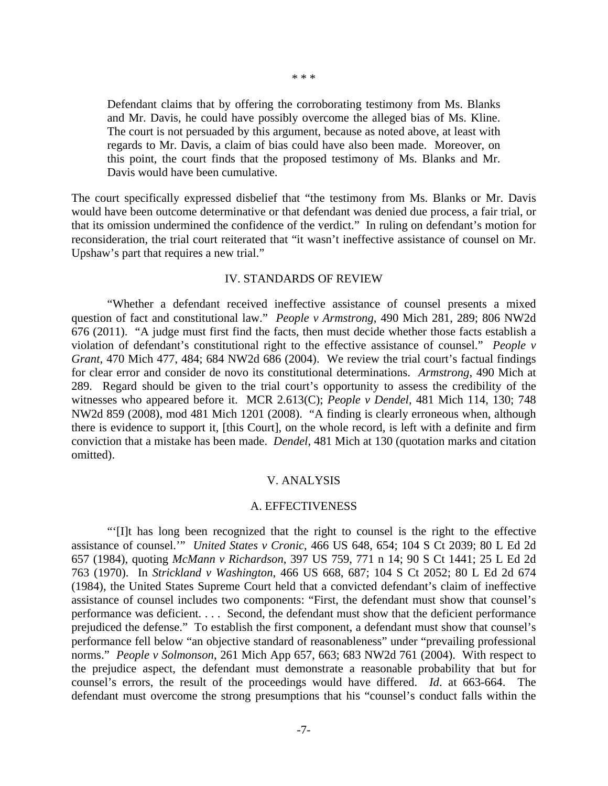\* \* \*

Defendant claims that by offering the corroborating testimony from Ms. Blanks and Mr. Davis, he could have possibly overcome the alleged bias of Ms. Kline. The court is not persuaded by this argument, because as noted above, at least with regards to Mr. Davis, a claim of bias could have also been made. Moreover, on this point, the court finds that the proposed testimony of Ms. Blanks and Mr. Davis would have been cumulative.

The court specifically expressed disbelief that "the testimony from Ms. Blanks or Mr. Davis would have been outcome determinative or that defendant was denied due process, a fair trial, or that its omission undermined the confidence of the verdict." In ruling on defendant's motion for reconsideration, the trial court reiterated that "it wasn't ineffective assistance of counsel on Mr. Upshaw's part that requires a new trial."

## IV. STANDARDS OF REVIEW

 "Whether a defendant received ineffective assistance of counsel presents a mixed question of fact and constitutional law." *People v Armstrong*, 490 Mich 281, 289; 806 NW2d 676 (2011). "A judge must first find the facts, then must decide whether those facts establish a violation of defendant's constitutional right to the effective assistance of counsel." *People v Grant*, 470 Mich 477, 484; 684 NW2d 686 (2004). We review the trial court's factual findings for clear error and consider de novo its constitutional determinations. *Armstrong*, 490 Mich at 289. Regard should be given to the trial court's opportunity to assess the credibility of the witnesses who appeared before it. MCR 2.613(C); *People v Dendel*, 481 Mich 114, 130; 748 NW2d 859 (2008), mod 481 Mich 1201 (2008). "A finding is clearly erroneous when, although there is evidence to support it, [this Court], on the whole record, is left with a definite and firm conviction that a mistake has been made. *Dendel*, 481 Mich at 130 (quotation marks and citation omitted).

## V. ANALYSIS

#### A. EFFECTIVENESS

 "'[I]t has long been recognized that the right to counsel is the right to the effective assistance of counsel.'" *United States v Cronic*, 466 US 648, 654; 104 S Ct 2039; 80 L Ed 2d 657 (1984), quoting *McMann v Richardson*, 397 US 759, 771 n 14; 90 S Ct 1441; 25 L Ed 2d 763 (1970). In *Strickland v Washington*, 466 US 668, 687; 104 S Ct 2052; 80 L Ed 2d 674 (1984), the United States Supreme Court held that a convicted defendant's claim of ineffective assistance of counsel includes two components: "First, the defendant must show that counsel's performance was deficient. . . . Second, the defendant must show that the deficient performance prejudiced the defense." To establish the first component, a defendant must show that counsel's performance fell below "an objective standard of reasonableness" under "prevailing professional norms." *People v Solmonson*, 261 Mich App 657, 663; 683 NW2d 761 (2004). With respect to the prejudice aspect, the defendant must demonstrate a reasonable probability that but for counsel's errors, the result of the proceedings would have differed. *Id*. at 663-664. The defendant must overcome the strong presumptions that his "counsel's conduct falls within the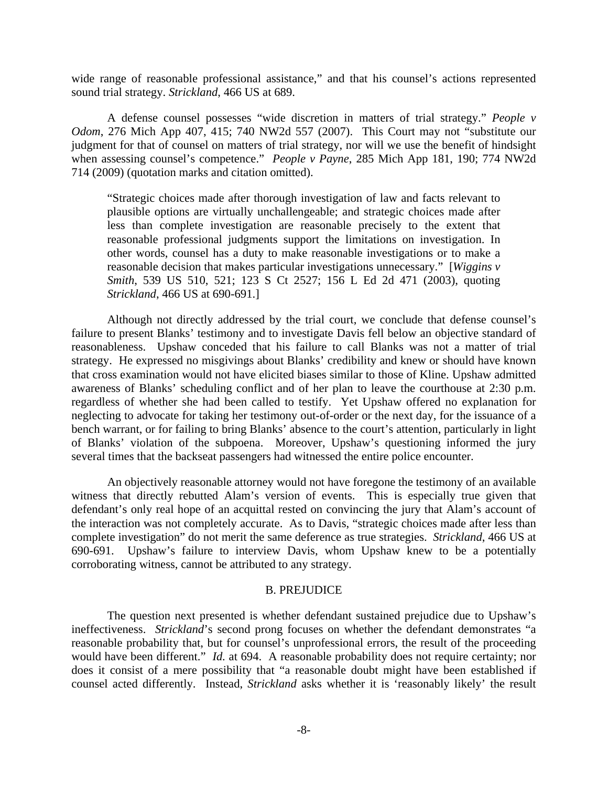wide range of reasonable professional assistance," and that his counsel's actions represented sound trial strategy. *Strickland*, 466 US at 689.

 A defense counsel possesses "wide discretion in matters of trial strategy." *People v Odom*, 276 Mich App 407, 415; 740 NW2d 557 (2007). This Court may not "substitute our judgment for that of counsel on matters of trial strategy, nor will we use the benefit of hindsight when assessing counsel's competence." *People v Payne*, 285 Mich App 181, 190; 774 NW2d 714 (2009) (quotation marks and citation omitted).

"Strategic choices made after thorough investigation of law and facts relevant to plausible options are virtually unchallengeable; and strategic choices made after less than complete investigation are reasonable precisely to the extent that reasonable professional judgments support the limitations on investigation. In other words, counsel has a duty to make reasonable investigations or to make a reasonable decision that makes particular investigations unnecessary." [*Wiggins v Smith*, 539 US 510, 521; 123 S Ct 2527; 156 L Ed 2d 471 (2003), quoting *Strickland*, 466 US at 690-691.]

 Although not directly addressed by the trial court, we conclude that defense counsel's failure to present Blanks' testimony and to investigate Davis fell below an objective standard of reasonableness. Upshaw conceded that his failure to call Blanks was not a matter of trial strategy. He expressed no misgivings about Blanks' credibility and knew or should have known that cross examination would not have elicited biases similar to those of Kline. Upshaw admitted awareness of Blanks' scheduling conflict and of her plan to leave the courthouse at 2:30 p.m. regardless of whether she had been called to testify. Yet Upshaw offered no explanation for neglecting to advocate for taking her testimony out-of-order or the next day, for the issuance of a bench warrant, or for failing to bring Blanks' absence to the court's attention, particularly in light of Blanks' violation of the subpoena. Moreover, Upshaw's questioning informed the jury several times that the backseat passengers had witnessed the entire police encounter.

 An objectively reasonable attorney would not have foregone the testimony of an available witness that directly rebutted Alam's version of events. This is especially true given that defendant's only real hope of an acquittal rested on convincing the jury that Alam's account of the interaction was not completely accurate. As to Davis, "strategic choices made after less than complete investigation" do not merit the same deference as true strategies. *Strickland*, 466 US at 690-691. Upshaw's failure to interview Davis, whom Upshaw knew to be a potentially corroborating witness, cannot be attributed to any strategy.

#### B. PREJUDICE

 The question next presented is whether defendant sustained prejudice due to Upshaw's ineffectiveness. *Strickland*'s second prong focuses on whether the defendant demonstrates "a reasonable probability that, but for counsel's unprofessional errors, the result of the proceeding would have been different." *Id.* at 694. A reasonable probability does not require certainty; nor does it consist of a mere possibility that "a reasonable doubt might have been established if counsel acted differently. Instead, *Strickland* asks whether it is 'reasonably likely' the result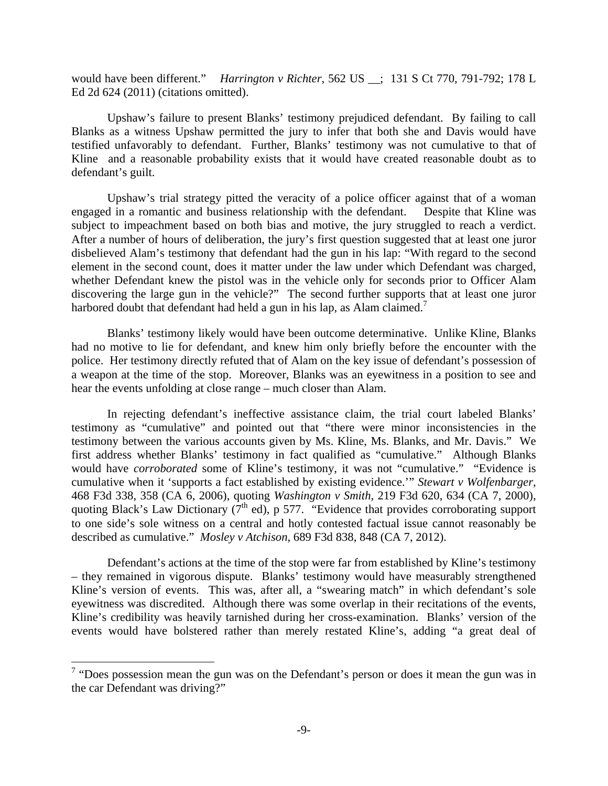would have been different." *Harrington v Richter*, 562 US \_\_; 131 S Ct 770, 791-792; 178 L Ed 2d 624 (2011) (citations omitted).

 Upshaw's failure to present Blanks' testimony prejudiced defendant. By failing to call Blanks as a witness Upshaw permitted the jury to infer that both she and Davis would have testified unfavorably to defendant. Further, Blanks' testimony was not cumulative to that of Kline and a reasonable probability exists that it would have created reasonable doubt as to defendant's guilt.

 Upshaw's trial strategy pitted the veracity of a police officer against that of a woman engaged in a romantic and business relationship with the defendant. Despite that Kline was subject to impeachment based on both bias and motive, the jury struggled to reach a verdict. After a number of hours of deliberation, the jury's first question suggested that at least one juror disbelieved Alam's testimony that defendant had the gun in his lap: "With regard to the second element in the second count, does it matter under the law under which Defendant was charged, whether Defendant knew the pistol was in the vehicle only for seconds prior to Officer Alam discovering the large gun in the vehicle?" The second further supports that at least one juror harbored doubt that defendant had held a gun in his lap, as Alam claimed.<sup>7</sup>

 Blanks' testimony likely would have been outcome determinative. Unlike Kline, Blanks had no motive to lie for defendant, and knew him only briefly before the encounter with the police. Her testimony directly refuted that of Alam on the key issue of defendant's possession of a weapon at the time of the stop. Moreover, Blanks was an eyewitness in a position to see and hear the events unfolding at close range – much closer than Alam.

 In rejecting defendant's ineffective assistance claim, the trial court labeled Blanks' testimony as "cumulative" and pointed out that "there were minor inconsistencies in the testimony between the various accounts given by Ms. Kline, Ms. Blanks, and Mr. Davis." We first address whether Blanks' testimony in fact qualified as "cumulative." Although Blanks would have *corroborated* some of Kline's testimony, it was not "cumulative." "Evidence is cumulative when it 'supports a fact established by existing evidence.'" *Stewart v Wolfenbarger*, 468 F3d 338, 358 (CA 6, 2006), quoting *Washington v Smith*, 219 F3d 620, 634 (CA 7, 2000), quoting Black's Law Dictionary  $(7<sup>th</sup>$  ed), p 577. "Evidence that provides corroborating support to one side's sole witness on a central and hotly contested factual issue cannot reasonably be described as cumulative." *Mosley v Atchison*, 689 F3d 838, 848 (CA 7, 2012).

 Defendant's actions at the time of the stop were far from established by Kline's testimony – they remained in vigorous dispute. Blanks' testimony would have measurably strengthened Kline's version of events. This was, after all, a "swearing match" in which defendant's sole eyewitness was discredited. Although there was some overlap in their recitations of the events, Kline's credibility was heavily tarnished during her cross-examination. Blanks' version of the events would have bolstered rather than merely restated Kline's, adding "a great deal of

1

<sup>&</sup>lt;sup>7</sup> "Does possession mean the gun was on the Defendant's person or does it mean the gun was in the car Defendant was driving?"